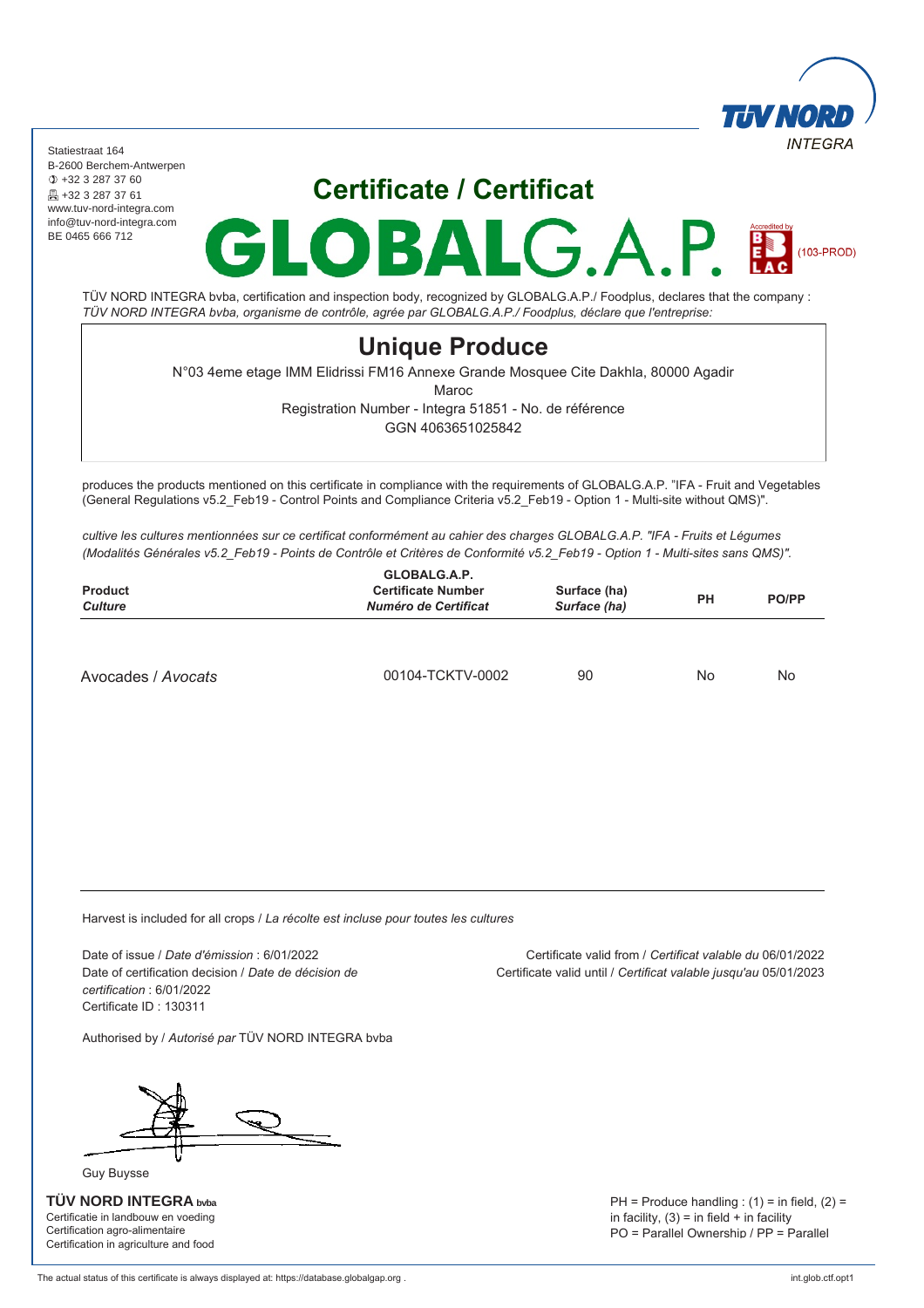

 $(103-PROD)$ 

Statiestraat 164 B-2600 Berchem-Antwerpen +32 3 287 37 60 **A** +32 3 287 37 61 www.tuv-nord-integra.com info@tuv-nord-integra.com BE 0465 666 712

# **Certificate / Certificat**

 $\bf\Lambda$ 

 $\blacksquare$ 

B

TÜV NORD INTEGRA bvba, certification and inspection body, recognized by GLOBALG.A.P./ Foodplus, declares that the company : *TÜV NORD INTEGRA bvba, organisme de contrôle, agrée par GLOBALG.A.P./ Foodplus, déclare que l'entreprise:*

### **Unique Produce**

N°03 4eme etage IMM Elidrissi FM16 Annexe Grande Mosquee Cite Dakhla, 80000 Agadir

Maroc

Registration Number - Integra 51851 - No. de référence

GGN 4063651025842

produces the products mentioned on this certificate in compliance with the requirements of GLOBALG.A.P. "IFA - Fruit and Vegetables (General Regulations v5.2\_Feb19 - Control Points and Compliance Criteria v5.2\_Feb19 - Option 1 - Multi-site without QMS)".

*cultive les cultures mentionnées sur ce certificat conformément au cahier des charges GLOBALG.A.P. "IFA - Fruits et Légumes (Modalités Générales v5.2\_Feb19 - Points de Contrôle et Critères de Conformité v5.2\_Feb19 - Option 1 - Multi-sites sans QMS)".*

| GLOBALG.A.P.<br><b>Certificate Number</b><br>Numéro de Certificat | Surface (ha)<br>Surface (ha) | <b>PH</b> | <b>PO/PP</b> |
|-------------------------------------------------------------------|------------------------------|-----------|--------------|
|                                                                   |                              |           | No           |
|                                                                   | 00104-TCKTV-0002             | 90        | No           |

Harvest is included for all crops / *La récolte est incluse pour toutes les cultures*

Date of issue / *Date d'émission* : 6/01/2022 Date of certification decision / *Date de décision de certification* : 6/01/2022 Certificate ID : 130311

Authorised by / *Autorisé par* TÜV NORD INTEGRA bvba

Guy Buysse

**TÜV NORD INTEGRA bvba** Certificatie in landbouw en voeding Certification agro-alimentaire Certification in agriculture and food

Certificate valid from / *Certificat valable du* 06/01/2022 Certificate valid until / *Certificat valable jusqu'au* 05/01/2023